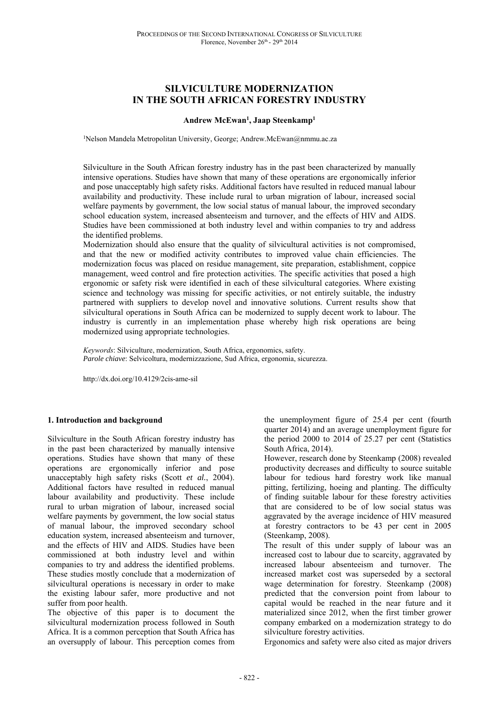# **SILVICULTURE MODERNIZATION IN THE SOUTH AFRICAN FORESTRY INDUSTRY**

#### **Andrew McEwan1 , Jaap Steenkamp1**

<sup>1</sup>Nelson Mandela Metropolitan University, George; Andrew.McEwan@nmmu.ac.za

Silviculture in the South African forestry industry has in the past been characterized by manually intensive operations. Studies have shown that many of these operations are ergonomically inferior and pose unacceptably high safety risks. Additional factors have resulted in reduced manual labour availability and productivity. These include rural to urban migration of labour, increased social welfare payments by government, the low social status of manual labour, the improved secondary school education system, increased absenteeism and turnover, and the effects of HIV and AIDS. Studies have been commissioned at both industry level and within companies to try and address the identified problems.

Modernization should also ensure that the quality of silvicultural activities is not compromised, and that the new or modified activity contributes to improved value chain efficiencies. The modernization focus was placed on residue management, site preparation, establishment, coppice management, weed control and fire protection activities. The specific activities that posed a high ergonomic or safety risk were identified in each of these silvicultural categories. Where existing science and technology was missing for specific activities, or not entirely suitable, the industry partnered with suppliers to develop novel and innovative solutions. Current results show that silvicultural operations in South Africa can be modernized to supply decent work to labour. The industry is currently in an implementation phase whereby high risk operations are being modernized using appropriate technologies.

*Keywords*: Silviculture, modernization, South Africa, ergonomics, safety. *Parole chiave*: Selvicoltura, modernizzazione, Sud Africa, ergonomia, sicurezza.

http://dx.doi.org/10.4129/2cis-ame-sil

### **1. Introduction and background**

Silviculture in the South African forestry industry has in the past been characterized by manually intensive operations. Studies have shown that many of these operations are ergonomically inferior and pose unacceptably high safety risks (Scott *et al.*, 2004). Additional factors have resulted in reduced manual labour availability and productivity. These include rural to urban migration of labour, increased social welfare payments by government, the low social status of manual labour, the improved secondary school education system, increased absenteeism and turnover, and the effects of HIV and AIDS. Studies have been commissioned at both industry level and within companies to try and address the identified problems. These studies mostly conclude that a modernization of silvicultural operations is necessary in order to make the existing labour safer, more productive and not suffer from poor health.

The objective of this paper is to document the silvicultural modernization process followed in South Africa. It is a common perception that South Africa has an oversupply of labour. This perception comes from the unemployment figure of 25.4 per cent (fourth quarter 2014) and an average unemployment figure for the period 2000 to 2014 of 25.27 per cent (Statistics South Africa, 2014).

However, research done by Steenkamp (2008) revealed productivity decreases and difficulty to source suitable labour for tedious hard forestry work like manual pitting, fertilizing, hoeing and planting. The difficulty of finding suitable labour for these forestry activities that are considered to be of low social status was aggravated by the average incidence of HIV measured at forestry contractors to be 43 per cent in 2005 (Steenkamp, 2008).

The result of this under supply of labour was an increased cost to labour due to scarcity, aggravated by increased labour absenteeism and turnover. The increased market cost was superseded by a sectoral wage determination for forestry. Steenkamp (2008) predicted that the conversion point from labour to capital would be reached in the near future and it materialized since 2012, when the first timber grower company embarked on a modernization strategy to do silviculture forestry activities.

Ergonomics and safety were also cited as major drivers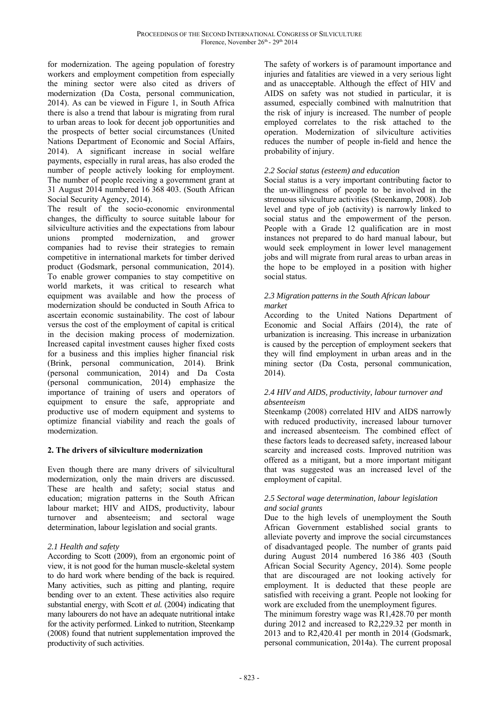for modernization. The ageing population of forestry workers and employment competition from especially the mining sector were also cited as drivers of modernization (Da Costa, personal communication, 2014). As can be viewed in Figure 1, in South Africa there is also a trend that labour is migrating from rural to urban areas to look for decent job opportunities and the prospects of better social circumstances (United Nations Department of Economic and Social Affairs, 2014). A significant increase in social welfare payments, especially in rural areas, has also eroded the number of people actively looking for employment. The number of people receiving a government grant at 31 August 2014 numbered 16 368 403. (South African Social Security Agency, 2014).

The result of the socio-economic environmental changes, the difficulty to source suitable labour for silviculture activities and the expectations from labour unions prompted modernization, and grower companies had to revise their strategies to remain competitive in international markets for timber derived product (Godsmark, personal communication, 2014). To enable grower companies to stay competitive on world markets, it was critical to research what equipment was available and how the process of modernization should be conducted in South Africa to ascertain economic sustainability. The cost of labour versus the cost of the employment of capital is critical in the decision making process of modernization. Increased capital investment causes higher fixed costs for a business and this implies higher financial risk (Brink, personal communication, 2014). Brink (personal communication, 2014) and Da Costa (personal communication, 2014) emphasize the importance of training of users and operators of equipment to ensure the safe, appropriate and productive use of modern equipment and systems to optimize financial viability and reach the goals of modernization.

## **2. The drivers of silviculture modernization**

Even though there are many drivers of silvicultural modernization, only the main drivers are discussed. These are health and safety; social status and education; migration patterns in the South African labour market; HIV and AIDS, productivity, labour turnover and absenteeism; and sectoral wage determination, labour legislation and social grants.

# *2.1 Health and safety*

According to Scott (2009), from an ergonomic point of view, it is not good for the human muscle-skeletal system to do hard work where bending of the back is required. Many activities, such as pitting and planting, require bending over to an extent. These activities also require substantial energy, with Scott *et al.* (2004) indicating that many labourers do not have an adequate nutritional intake for the activity performed. Linked to nutrition, Steenkamp (2008) found that nutrient supplementation improved the productivity of such activities.

The safety of workers is of paramount importance and injuries and fatalities are viewed in a very serious light and as unacceptable. Although the effect of HIV and AIDS on safety was not studied in particular, it is assumed, especially combined with malnutrition that the risk of injury is increased. The number of people employed correlates to the risk attached to the operation. Modernization of silviculture activities reduces the number of people in-field and hence the probability of injury.

# *2.2 Social status (esteem) and education*

Social status is a very important contributing factor to the un-willingness of people to be involved in the strenuous silviculture activities (Steenkamp, 2008). Job level and type of job (activity) is narrowly linked to social status and the empowerment of the person. People with a Grade 12 qualification are in most instances not prepared to do hard manual labour, but would seek employment in lower level management jobs and will migrate from rural areas to urban areas in the hope to be employed in a position with higher social status.

### *2.3 Migration patterns in the South African labour market*

According to the United Nations Department of Economic and Social Affairs (2014), the rate of urbanization is increasing. This increase in urbanization is caused by the perception of employment seekers that they will find employment in urban areas and in the mining sector (Da Costa, personal communication, 2014).

### *2.4 HIV and AIDS, productivity, labour turnover and absenteeism*

Steenkamp (2008) correlated HIV and AIDS narrowly with reduced productivity, increased labour turnover and increased absenteeism. The combined effect of these factors leads to decreased safety, increased labour scarcity and increased costs. Improved nutrition was offered as a mitigant, but a more important mitigant that was suggested was an increased level of the employment of capital.

## *2.5 Sectoral wage determination, labour legislation and social grants*

Due to the high levels of unemployment the South African Government established social grants to alleviate poverty and improve the social circumstances of disadvantaged people. The number of grants paid during August 2014 numbered 16 386 403 (South African Social Security Agency, 2014). Some people that are discouraged are not looking actively for employment. It is deducted that these people are satisfied with receiving a grant. People not looking for work are excluded from the unemployment figures.

The minimum forestry wage was R1,428.70 per month during 2012 and increased to R2,229.32 per month in 2013 and to R2,420.41 per month in  $201\overline{4}$  (Godsmark, personal communication, 2014a). The current proposal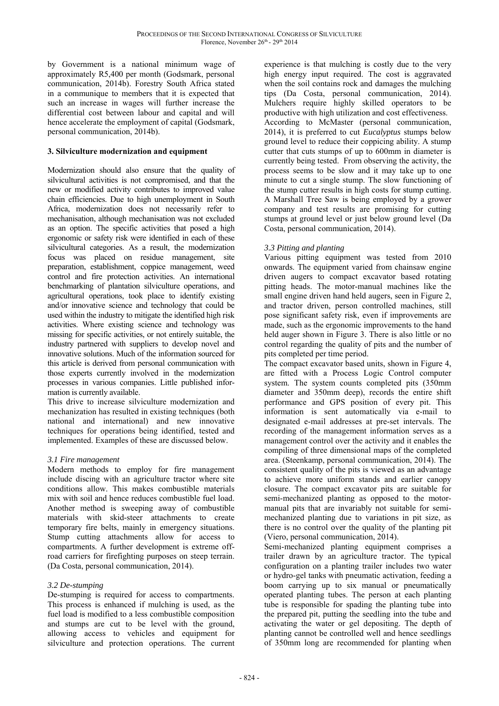by Government is a national minimum wage of approximately R5,400 per month (Godsmark, personal communication, 2014b). Forestry South Africa stated in a communique to members that it is expected that such an increase in wages will further increase the differential cost between labour and capital and will hence accelerate the employment of capital (Godsmark, personal communication, 2014b).

## **3. Silviculture modernization and equipment**

Modernization should also ensure that the quality of silvicultural activities is not compromised, and that the new or modified activity contributes to improved value chain efficiencies. Due to high unemployment in South Africa, modernization does not necessarily refer to mechanisation, although mechanisation was not excluded as an option. The specific activities that posed a high ergonomic or safety risk were identified in each of these silvicultural categories. As a result, the modernization focus was placed on residue management, site preparation, establishment, coppice management, weed control and fire protection activities. An international benchmarking of plantation silviculture operations, and agricultural operations, took place to identify existing and/or innovative science and technology that could be used within the industry to mitigate the identified high risk activities. Where existing science and technology was missing for specific activities, or not entirely suitable, the industry partnered with suppliers to develop novel and innovative solutions. Much of the information sourced for this article is derived from personal communication with those experts currently involved in the modernization processes in various companies. Little published information is currently available.

This drive to increase silviculture modernization and mechanization has resulted in existing techniques (both national and international) and new innovative techniques for operations being identified, tested and implemented. Examples of these are discussed below.

#### *3.1 Fire management*

Modern methods to employ for fire management include discing with an agriculture tractor where site conditions allow. This makes combustible materials mix with soil and hence reduces combustible fuel load. Another method is sweeping away of combustible materials with skid-steer attachments to create temporary fire belts, mainly in emergency situations. Stump cutting attachments allow for access to compartments. A further development is extreme offroad carriers for firefighting purposes on steep terrain. (Da Costa, personal communication, 2014).

## *3.2 De-stumping*

De-stumping is required for access to compartments. This process is enhanced if mulching is used, as the fuel load is modified to a less combustible composition and stumps are cut to be level with the ground, allowing access to vehicles and equipment for silviculture and protection operations. The current

experience is that mulching is costly due to the very high energy input required. The cost is aggravated when the soil contains rock and damages the mulching tips (Da Costa, personal communication, 2014). Mulchers require highly skilled operators to be productive with high utilization and cost effectiveness. According to McMaster (personal communication, 2014), it is preferred to cut *Eucalyptus* stumps below ground level to reduce their coppicing ability. A stump cutter that cuts stumps of up to 600mm in diameter is currently being tested. From observing the activity, the process seems to be slow and it may take up to one minute to cut a single stump. The slow functioning of the stump cutter results in high costs for stump cutting. A Marshall Tree Saw is being employed by a grower company and test results are promising for cutting stumps at ground level or just below ground level (Da Costa, personal communication, 2014).

## *3.3 Pitting and planting*

Various pitting equipment was tested from 2010 onwards. The equipment varied from chainsaw engine driven augers to compact excavator based rotating pitting heads. The motor-manual machines like the small engine driven hand held augers, seen in Figure 2, and tractor driven, person controlled machines, still pose significant safety risk, even if improvements are made, such as the ergonomic improvements to the hand held auger shown in Figure 3. There is also little or no control regarding the quality of pits and the number of pits completed per time period.

The compact excavator based units, shown in Figure 4, are fitted with a Process Logic Control computer system. The system counts completed pits (350mm diameter and 350mm deep), records the entire shift performance and GPS position of every pit. This information is sent automatically via e-mail to designated e-mail addresses at pre-set intervals. The recording of the management information serves as a management control over the activity and it enables the compiling of three dimensional maps of the completed area. (Steenkamp, personal communication, 2014). The consistent quality of the pits is viewed as an advantage to achieve more uniform stands and earlier canopy closure. The compact excavator pits are suitable for semi-mechanized planting as opposed to the motormanual pits that are invariably not suitable for semimechanized planting due to variations in pit size, as there is no control over the quality of the planting pit (Viero, personal communication, 2014).

Semi-mechanized planting equipment comprises a trailer drawn by an agriculture tractor. The typical configuration on a planting trailer includes two water or hydro-gel tanks with pneumatic activation, feeding a boom carrying up to six manual or pneumatically operated planting tubes. The person at each planting tube is responsible for spading the planting tube into the prepared pit, putting the seedling into the tube and activating the water or gel depositing. The depth of planting cannot be controlled well and hence seedlings of 350mm long are recommended for planting when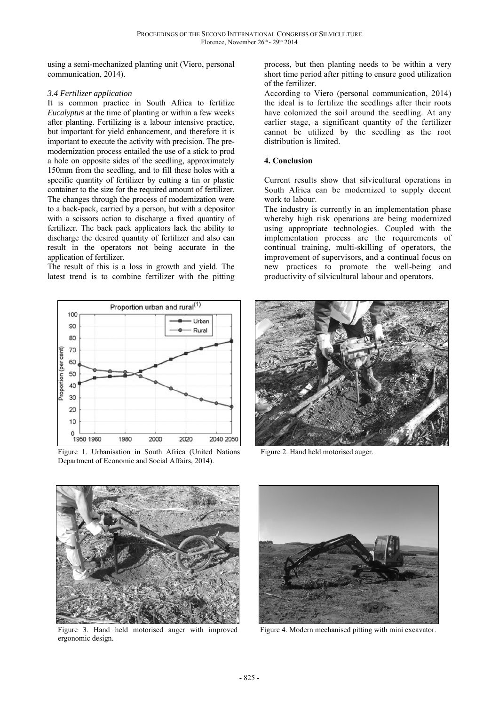using a semi-mechanized planting unit (Viero, personal communication, 2014).

#### *3.4 Fertilizer application*

It is common practice in South Africa to fertilize *Eucalyptus* at the time of planting or within a few weeks after planting. Fertilizing is a labour intensive practice, but important for yield enhancement, and therefore it is important to execute the activity with precision. The premodernization process entailed the use of a stick to prod a hole on opposite sides of the seedling, approximately 150mm from the seedling, and to fill these holes with a specific quantity of fertilizer by cutting a tin or plastic container to the size for the required amount of fertilizer. The changes through the process of modernization were to a back-pack, carried by a person, but with a depositor with a scissors action to discharge a fixed quantity of fertilizer. The back pack applicators lack the ability to discharge the desired quantity of fertilizer and also can result in the operators not being accurate in the application of fertilizer.

The result of this is a loss in growth and yield. The latest trend is to combine fertilizer with the pitting



Figure 1. Urbanisation in South Africa (United Nations Department of Economic and Social Affairs, 2014).

process, but then planting needs to be within a very short time period after pitting to ensure good utilization of the fertilizer.

According to Viero (personal communication, 2014) the ideal is to fertilize the seedlings after their roots have colonized the soil around the seedling. At any earlier stage, a significant quantity of the fertilizer cannot be utilized by the seedling as the root distribution is limited.

### **4. Conclusion**

Current results show that silvicultural operations in South Africa can be modernized to supply decent work to labour.

The industry is currently in an implementation phase whereby high risk operations are being modernized using appropriate technologies. Coupled with the implementation process are the requirements of continual training, multi-skilling of operators, the improvement of supervisors, and a continual focus on new practices to promote the well-being and productivity of silvicultural labour and operators.



Figure 2. Hand held motorised auger.



Figure 3. Hand held motorised auger with improved ergonomic design.



Figure 4. Modern mechanised pitting with mini excavator.